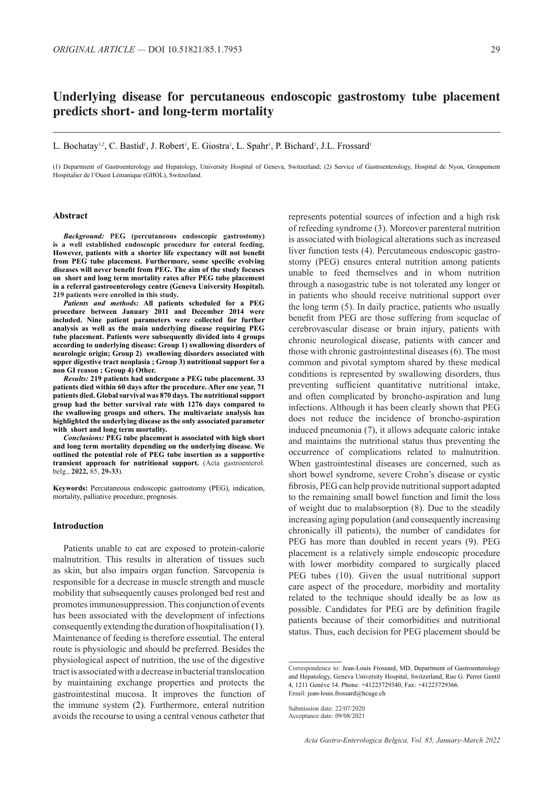# **Underlying disease for percutaneous endoscopic gastrostomy tube placement predicts short- and long-term mortality**

L. Bochatay<sup>1,2</sup>, C. Bastid<sup>1</sup>, J. Robert<sup>1</sup>, E. Giostra<sup>1</sup>, L. Spahr<sup>1</sup>, P. Bichard<sup>1</sup>, J.L. Frossard<sup>1</sup>

(1) Department of Gastroenterology and Hepatology, University Hospital of Geneva, Switzerland; (2) Service of Gastroenterology, Hospital de Nyon, Groupement Hospitalier de l'Ouest Lémanique (GHOL), Switzerland.

## **Abstract**

*Background:* **PEG (percutaneous endoscopic gastrostomy) is a well established endoscopic procedure for enteral feeding. However, patients with a shorter life expectancy will not benefit from PEG tube placement. Furthermore, some specific evolving diseases will never benefit from PEG. The aim of the study focuses on short and long term mortality rates after PEG tube placement in a referral gastroenterology centre (Geneva University Hospital). 219 patients were enrolled in this study.**

*Patients and methods:* **All patients scheduled for a PEG procedure between January 2011 and December 2014 were included. Nine patient parameters were collected for further analysis as well as the main underlying disease requiring PEG tube placement. Patients were subsequently divided into 4 groups according to underlying disease: Group 1) swallowing disorders of neurologic origin; Group 2) swallowing disorders associated with upper digestive tract neoplasia ; Group 3) nutritional support for a non GI reason ; Group 4) Other.** 

*Results:* **219 patients had undergone a PEG tube placement. 33 patients died within 60 days after the procedure. After one year, 71 patients died. Global survival was 870 days. The nutritional support group had the better survival rate with 1276 days compared to the swallowing groups and others. The multivariate analysis has highlighted the underlying disease as the only associated parameter with short and long term mortality.** 

*Conclusions:* **PEG tube placement is associated with high short and long term mortality depending on the underlying disease. We outlined the potential role of PEG tube insertion as a supportive transient approach for nutritional support.** (Acta gastroenterol. belg., **2022,** 85, **29-33**).

**Keywords:** Percutaneous endoscopic gastrostomy (PEG), indication, mortality, palliative procedure, prognosis.

## **Introduction**

Patients unable to eat are exposed to protein-calorie malnutrition. This results in alteration of tissues such as skin, but also impairs organ function. Sarcopenia is responsible for a decrease in muscle strength and muscle mobility that subsequently causes prolonged bed rest and promotes immunosuppression. This conjunction of events has been associated with the development of infections consequently extending the duration of hospitalisation (1). Maintenance of feeding is therefore essential. The enteral route is physiologic and should be preferred. Besides the physiological aspect of nutrition, the use of the digestive tract is associated with a decrease in bacterial translocation by maintaining exchange properties and protects the gastrointestinal mucosa. It improves the function of the immune system (2). Furthermore, enteral nutrition avoids the recourse to using a central venous catheter that

represents potential sources of infection and a high risk of refeeding syndrome (3). Moreover parenteral nutrition is associated with biological alterations such as increased liver function tests (4). Percutaneous endoscopic gastrostomy (PEG) ensures enteral nutrition among patients unable to feed themselves and in whom nutrition through a nasogastric tube is not tolerated any longer or in patients who should receive nutritional support over the long term (5). In daily practice, patients who usually benefit from PEG are those suffering from sequelae of cerebrovascular disease or brain injury, patients with chronic neurological disease, patients with cancer and those with chronic gastrointestinal diseases (6). The most common and pivotal symptom shared by these medical conditions is represented by swallowing disorders, thus preventing sufficient quantitative nutritional intake, and often complicated by broncho-aspiration and lung infections. Although it has been clearly shown that PEG does not reduce the incidence of broncho-aspiration induced pneumonia (7), it allows adequate caloric intake and maintains the nutritional status thus preventing the occurrence of complications related to malnutrition. When gastrointestinal diseases are concerned, such as short bowel syndrome, severe Crohn's disease or cystic fibrosis, PEG can help provide nutritional support adapted to the remaining small bowel function and limit the loss of weight due to malabsorption (8). Due to the steadily increasing aging population (and consequently increasing chronically ill patients), the number of candidates for PEG has more than doubled in recent years (9). PEG placement is a relatively simple endoscopic procedure with lower morbidity compared to surgically placed PEG tubes (10). Given the usual nutritional support care aspect of the procedure, morbidity and mortality related to the technique should ideally be as low as possible. Candidates for PEG are by definition fragile patients because of their comorbidities and nutritional status. Thus, each decision for PEG placement should be

Correspondence to: Jean-Louis Frossard, MD, Department of Gastroenterology and Hepatology, Geneva University Hospital, Switzerland, Rue G. Perret Gentil 4, 1211 Genève 14. Phone: +41223729340, Fax: +41223729366. Email: jean-louis.frossard@hcuge.ch

Submission date: 22/07/2020

Acceptance date: 09/08/2021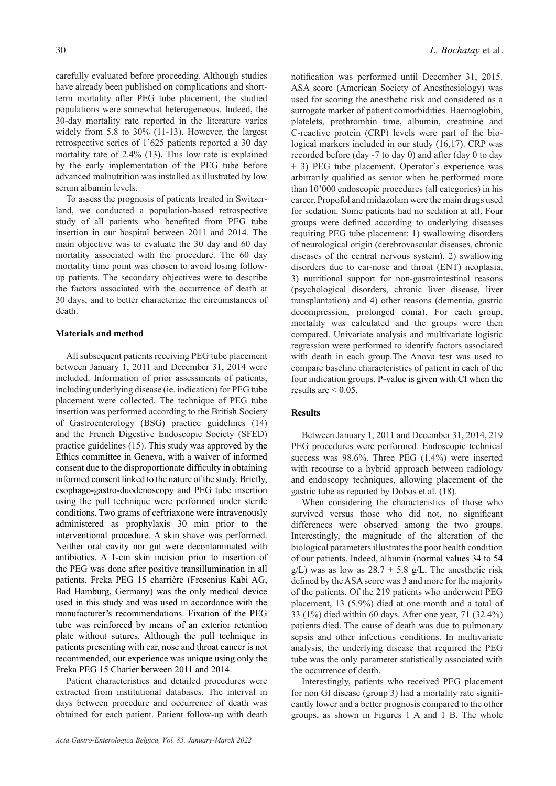carefully evaluated before proceeding. Although studies have already been published on complications and shortterm mortality after PEG tube placement, the studied populations were somewhat heterogeneous. Indeed, the 30-day mortality rate reported in the literature varies widely from 5.8 to 30% (11-13). However, the largest retrospective series of 1'625 patients reported a 30 day mortality rate of 2.4% (13). This low rate is explained by the early implementation of the PEG tube before advanced malnutrition was installed as illustrated by low serum albumin levels.

To assess the prognosis of patients treated in Switzerland, we conducted a population-based retrospective study of all patients who benefited from PEG tube insertion in our hospital between 2011 and 2014. The main objective was to evaluate the 30 day and 60 day mortality associated with the procedure. The 60 day mortality time point was chosen to avoid losing followup patients. The secondary objectives were to describe the factors associated with the occurrence of death at 30 days, and to better characterize the circumstances of death.

# **Materials and method**

All subsequent patients receiving PEG tube placement between January 1, 2011 and December 31, 2014 were included. Information of prior assessments of patients, including underlying disease (ie. indication) for PEG tube placement were collected. The technique of PEG tube insertion was performed according to the British Society of Gastroenterology (BSG) practice guidelines (14) and the French Digestive Endoscopic Society (SFED) practice guidelines (15). This study was approved by the Ethics committee in Geneva, with a waiver of informed consent due to the disproportionate difficulty in obtaining informed consent linked to the nature of the study. Briefly, esophago-gastro-duodenoscopy and PEG tube insertion using the pull technique were performed under sterile conditions. Two grams of ceftriaxone were intravenously administered as prophylaxis 30 min prior to the interventional procedure. A skin shave was performed. Neither oral cavity nor gut were decontaminated with antibiotics. A 1-cm skin incision prior to insertion of the PEG was done after positive transillumination in all patients. Freka PEG 15 charrière (Fresenius Kabi AG, Bad Hamburg, Germany) was the only medical device used in this study and was used in accordance with the manufacturer's recommendations. Fixation of the PEG tube was reinforced by means of an exterior retention plate without sutures. Although the pull technique in patients presenting with ear, nose and throat cancer is not recommended, our experience was unique using only the Freka PEG 15 Charier between 2011 and 2014.

Patient characteristics and detailed procedures were extracted from institutional databases. The interval in days between procedure and occurrence of death was obtained for each patient. Patient follow-up with death notification was performed until December 31, 2015. ASA score (American Society of Anesthesiology) was used for scoring the anesthetic risk and considered as a surrogate marker of patient comorbidities. Haemoglobin, platelets, prothrombin time, albumin, creatinine and C-reactive protein (CRP) levels were part of the biological markers included in our study (16,17). CRP was recorded before (day -7 to day 0) and after (day 0 to day + 3) PEG tube placement. Operator's experience was arbitrarily qualified as senior when he performed more than 10'000 endoscopic procedures (all categories) in his career. Propofol and midazolam were the main drugs used for sedation. Some patients had no sedation at all. Four groups were defined according to underlying diseases requiring PEG tube placement: 1) swallowing disorders of neurological origin (cerebrovascular diseases, chronic diseases of the central nervous system), 2) swallowing disorders due to ear-nose and throat (ENT) neoplasia, 3) nutritional support for non-gastrointestinal reasons (psychological disorders, chronic liver disease, liver transplantation) and 4) other reasons (dementia, gastric decompression, prolonged coma). For each group, mortality was calculated and the groups were then compared. Univariate analysis and multivariate logistic regression were performed to identify factors associated with death in each group.The Anova test was used to compare baseline characteristics of patient in each of the four indication groups. P-value is given with CI when the results are  $\leq 0.05$ .

# **Results**

Between January 1, 2011 and December 31, 2014, 219 PEG procedures were performed. Endoscopic technical success was 98.6%. Three PEG (1.4%) were inserted with recourse to a hybrid approach between radiology and endoscopy techniques, allowing placement of the gastric tube as reported by Dobos et al. (18).

When considering the characteristics of those who survived versus those who did not, no significant differences were observed among the two groups. Interestingly, the magnitude of the alteration of the biological parameters illustrates the poor health condition of our patients. Indeed, albumin (normal values 34 to 54  $g/L$ ) was as low as  $28.7 \pm 5.8$  g/L. The anesthetic risk defined by the ASA score was 3 and more for the majority of the patients. Of the 219 patients who underwent PEG placement, 13 (5.9%) died at one month and a total of 33 (1%) died within 60 days. After one year, 71 (32.4%) patients died. The cause of death was due to pulmonary sepsis and other infectious conditions. In multivariate analysis, the underlying disease that required the PEG tube was the only parameter statistically associated with the occurrence of death.

Interestingly, patients who received PEG placement for non GI disease (group 3) had a mortality rate significantly lower and a better prognosis compared to the other groups, as shown in Figures 1 A and 1 B. The whole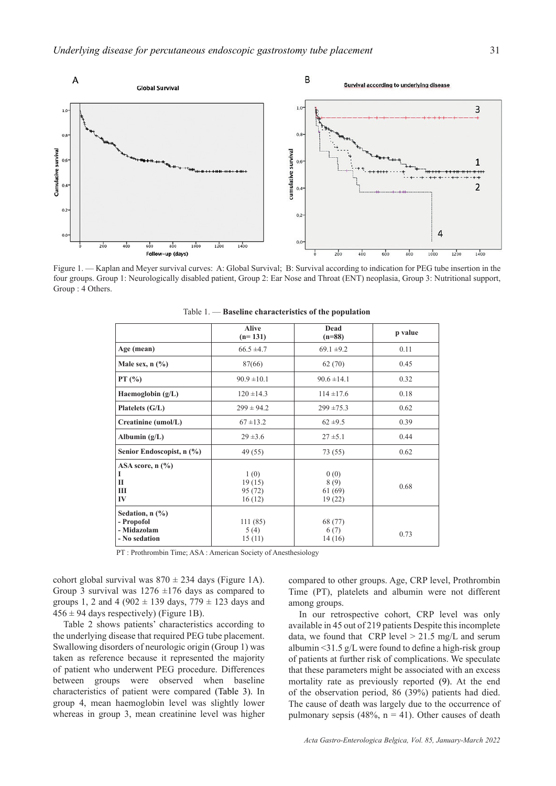

Figure 1. — Kaplan and Meyer survival curves: A: Global Survival; B: Survival according to indication for PEG tube insertion in the four groups. Group 1: Neurologically disabled patient, Group 2: Ear Nose and Throat (ENT) neoplasia, Group 3: Nutritional support, Group : 4 Others.

|                                                                       | <b>Alive</b><br>$(n=131)$           | Dead<br>$(n=88)$                 | p value |
|-----------------------------------------------------------------------|-------------------------------------|----------------------------------|---------|
| Age (mean)                                                            | $66.5 \pm 4.7$                      | $69.1 \pm 9.2$                   | 0.11    |
| Male sex, $n$ $(\%)$                                                  | 87(66)                              | 62(70)                           | 0.45    |
| PT(%)                                                                 | $90.9 \pm 10.1$                     | $90.6 \pm 14.1$                  | 0.32    |
| Haemoglobin $(g/L)$                                                   | $120 \pm 14.3$                      | $114 \pm 17.6$                   | 0.18    |
| Platelets (G/L)                                                       | $299 \pm 94.2$                      | $299 \pm 75.3$                   | 0.62    |
| Creatinine (umol/L)                                                   | $67 \pm 13.2$                       | $62 \pm 9.5$                     | 0.39    |
| Albumin $(g/L)$                                                       | $29 \pm 3.6$                        | $27 \pm 5.1$                     | 0.44    |
| Senior Endoscopist, n (%)                                             | 49 (55)                             | 73 (55)                          | 0.62    |
| ASA score, $n$ $\left(\frac{9}{6}\right)$<br>1<br>П<br>Ш<br>$\bf{IV}$ | 1(0)<br>19(15)<br>95 (72)<br>16(12) | 0(0)<br>8(9)<br>61(69)<br>19(22) | 0.68    |
| Sedation, $n$ $(\%)$<br>- Propofol<br>- Midazolam<br>- No sedation    | 111(85)<br>5(4)<br>15(11)           | 68 (77)<br>6(7)<br>14(16)        | 0.73    |

Table 1. — **Baseline characteristics of the population**

PT : Prothrombin Time; ASA : American Society of Anesthesiology

cohort global survival was  $870 \pm 234$  days (Figure 1A). Group 3 survival was  $1276 \pm 176$  days as compared to groups 1, 2 and 4 (902  $\pm$  139 days, 779  $\pm$  123 days and  $456 \pm 94$  days respectively) (Figure 1B).

Table 2 shows patients' characteristics according to the underlying disease that required PEG tube placement. Swallowing disorders of neurologic origin (Group 1) was taken as reference because it represented the majority of patient who underwent PEG procedure. Differences between groups were observed when baseline characteristics of patient were compared (Table 3). In group 4, mean haemoglobin level was slightly lower whereas in group 3, mean creatinine level was higher compared to other groups. Age, CRP level, Prothrombin Time (PT), platelets and albumin were not different among groups.

In our retrospective cohort, CRP level was only available in 45 out of 219 patients Despite this incomplete data, we found that  $CRP$  level  $> 21.5$  mg/L and serum albumin <31.5 g/L were found to define a high-risk group of patients at further risk of complications. We speculate that these parameters might be associated with an excess mortality rate as previously reported (9). At the end of the observation period, 86 (39%) patients had died. The cause of death was largely due to the occurrence of pulmonary sepsis (48%,  $n = 41$ ). Other causes of death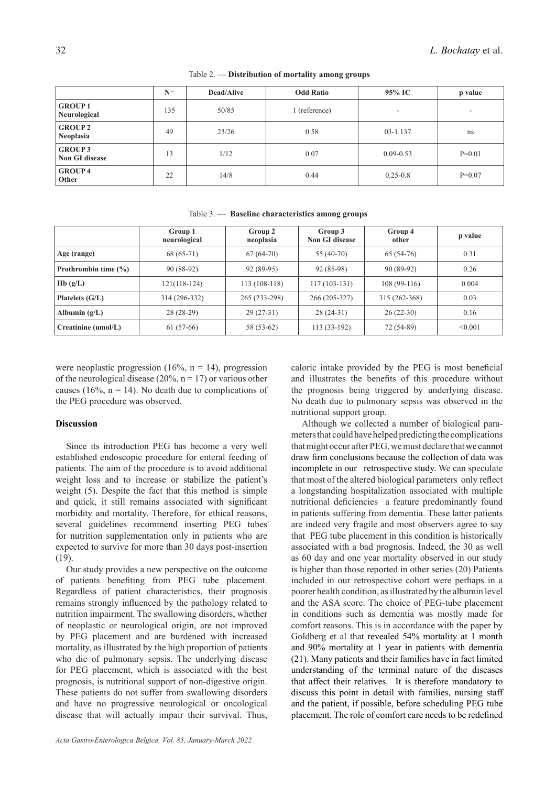|                                         | $N=$ | <b>Dead/Alive</b> | <b>Odd Ratio</b> | 95% IC        | p value  |
|-----------------------------------------|------|-------------------|------------------|---------------|----------|
| <b>GROUP1</b><br>Neurological           | 135  | 50/85             | 1 (reference)    | ٠             | ۰        |
| <b>GROUP 2</b><br>Neoplasia             | 49   | 23/26             | 0.58             | 03-1.137      | ns       |
| <b>GROUP 3</b><br><b>Non GI disease</b> | 13   | 1/12              | 0.07             | $0.09 - 0.53$ | $P=0.01$ |
| <b>GROUP4</b><br>Other                  | 22   | 14/8              | 0.44             | $0.25 - 0.8$  | $P=0.07$ |

|                          | Group 1<br>neurological | Group 2<br>neoplasia | Group 3<br>Non GI disease | Group 4<br>other | p value |
|--------------------------|-------------------------|----------------------|---------------------------|------------------|---------|
| Age (range)              | 68 (65-71)              | $67(64-70)$          | $55(40-70)$               | $65(54-76)$      | 0.31    |
| Prothrombin time $(\% )$ | 90 (88-92)              | $92(89-95)$          | 92 (85-98)                | $90(89-92)$      | 0.26    |
| Hb(g/L)                  | 121(118-124)            | 113 (108-118)        | $117(103-131)$            | $108(99-116)$    | 0.004   |
| Platelets $(G/L)$        | 314 (296-332)           | 265 (233-298)        | 266 (205-327)             | 315 (262-368)    | 0.03    |
| Albumin $(g/L)$          | $28(28-29)$             | $29(27-31)$          | $28(24-31)$               | $26(22-30)$      | 0.16    |
| Creatinine (umol/L)      | $61(57-66)$             | 58 (53-62)           | $113(33-192)$             | 72 (54-89)       | < 0.001 |

Table 3. — **Baseline characteristics among groups**

were neoplastic progression (16%,  $n = 14$ ), progression of the neurological disease (20%,  $n = 17$ ) or various other causes (16%,  $n = 14$ ). No death due to complications of the PEG procedure was observed.

## **Discussion**

Since its introduction PEG has become a very well established endoscopic procedure for enteral feeding of patients. The aim of the procedure is to avoid additional weight loss and to increase or stabilize the patient's weight (5). Despite the fact that this method is simple and quick, it still remains associated with significant morbidity and mortality. Therefore, for ethical reasons, several guidelines recommend inserting PEG tubes for nutrition supplementation only in patients who are expected to survive for more than 30 days post-insertion (19).

Our study provides a new perspective on the outcome of patients benefiting from PEG tube placement. Regardless of patient characteristics, their prognosis remains strongly influenced by the pathology related to nutrition impairment. The swallowing disorders, whether of neoplastic or neurological origin, are not improved by PEG placement and are burdened with increased mortality, as illustrated by the high proportion of patients who die of pulmonary sepsis. The underlying disease for PEG placement, which is associated with the best prognosis, is nutritional support of non-digestive origin. These patients do not suffer from swallowing disorders and have no progressive neurological or oncological disease that will actually impair their survival. Thus, caloric intake provided by the PEG is most beneficial and illustrates the benefits of this procedure without the prognosis being triggered by underlying disease. No death due to pulmonary sepsis was observed in the nutritional support group.

Although we collected a number of biological parameters that could have helped predicting the complications that might occur after PEG, we must declare that we cannot draw firm conclusions because the collection of data was incomplete in our retrospective study. We can speculate that most of the altered biological parameters only reflect a longstanding hospitalization associated with multiple nutritional deficiencies a feature predominantly found in patients suffering from dementia. These latter patients are indeed very fragile and most observers agree to say that PEG tube placement in this condition is historically associated with a bad prognosis. Indeed, the 30 as well as 60 day and one year mortality observed in our study is higher than those reported in other series (20) Patients included in our retrospective cohort were perhaps in a poorer health condition, as illustrated by the albumin level and the ASA score. The choice of PEG-tube placement in conditions such as dementia was mostly made for comfort reasons. This is in accordance with the paper by Goldberg et al that revealed 54% mortality at 1 month and 90% mortality at 1 year in patients with dementia (21). Many patients and their families have in fact limited understanding of the terminal nature of the diseases that affect their relatives. It is therefore mandatory to discuss this point in detail with families, nursing staff and the patient, if possible, before scheduling PEG tube placement. The role of comfort care needs to be redefined